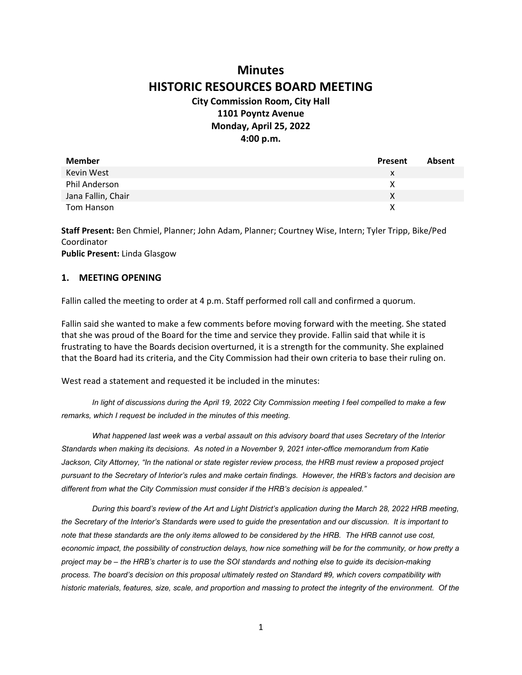# **Minutes HISTORIC RESOURCES BOARD MEETING**

### **City Commission Room, City Hall 1101 Poyntz Avenue Monday, April 25, 2022 4:00 p.m.**

| <b>Member</b>      | Present | Absent |
|--------------------|---------|--------|
| Kevin West         | x       |        |
| Phil Anderson      | х       |        |
| Jana Fallin, Chair | x       |        |
| Tom Hanson         |         |        |

**Staff Present:** Ben Chmiel, Planner; John Adam, Planner; Courtney Wise, Intern; Tyler Tripp, Bike/Ped Coordinator **Public Present:** Linda Glasgow

#### **1. MEETING OPENING**

Fallin called the meeting to order at 4 p.m. Staff performed roll call and confirmed a quorum.

Fallin said she wanted to make a few comments before moving forward with the meeting. She stated that she was proud of the Board for the time and service they provide. Fallin said that while it is frustrating to have the Boards decision overturned, it is a strength for the community. She explained that the Board had its criteria, and the City Commission had their own criteria to base their ruling on.

West read a statement and requested it be included in the minutes:

*In light of discussions during the April 19, 2022 City Commission meeting I feel compelled to make a few remarks, which I request be included in the minutes of this meeting.*

*What happened last week was a verbal assault on this advisory board that uses Secretary of the Interior Standards when making its decisions. As noted in a November 9, 2021 inter-office memorandum from Katie Jackson, City Attorney, "In the national or state register review process, the HRB must review a proposed project pursuant to the Secretary of Interior's rules and make certain findings. However, the HRB's factors and decision are different from what the City Commission must consider if the HRB's decision is appealed."*

*During this board's review of the Art and Light District's application during the March 28, 2022 HRB meeting, the Secretary of the Interior's Standards were used to guide the presentation and our discussion. It is important to note that these standards are the only items allowed to be considered by the HRB. The HRB cannot use cost, economic impact, the possibility of construction delays, how nice something will be for the community, or how pretty a project may be – the HRB's charter is to use the SOI standards and nothing else to guide its decision-making process. The board's decision on this proposal ultimately rested on Standard #9, which covers compatibility with historic materials, features, size, scale, and proportion and massing to protect the integrity of the environment. Of the*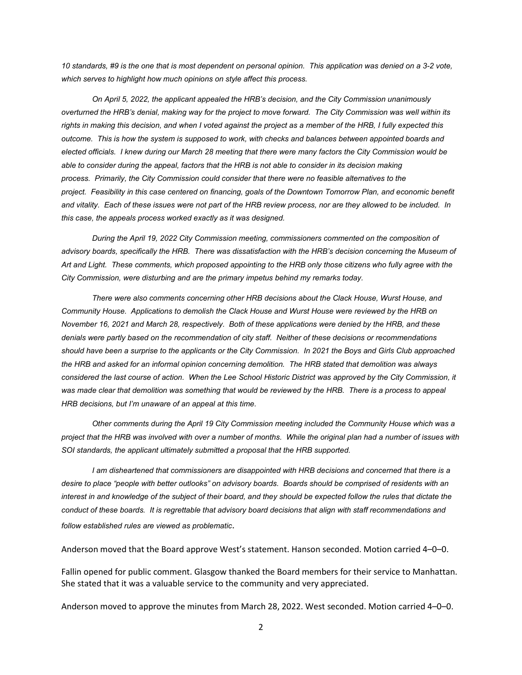10 standards, #9 is the one that is most dependent on personal opinion. This application was denied on a 3-2 vote, *which serves to highlight how much opinions on style affect this process.*

*On April 5, 2022, the applicant appealed the HRB's decision, and the City Commission unanimously overturned the HRB's denial, making way for the project to move forward. The City Commission was well within its rights in making this decision, and when I voted against the project as a member of the HRB, I fully expected this outcome. This is how the system is supposed to work, with checks and balances between appointed boards and elected officials. I knew during our March 28 meeting that there were many factors the City Commission would be able to consider during the appeal, factors that the HRB is not able to consider in its decision making process. Primarily, the City Commission could consider that there were no feasible alternatives to the project. Feasibility in this case centered on financing, goals of the Downtown Tomorrow Plan, and economic benefit and vitality. Each of these issues were not part of the HRB review process, nor are they allowed to be included. In this case, the appeals process worked exactly as it was designed.*

*During the April 19, 2022 City Commission meeting, commissioners commented on the composition of advisory boards, specifically the HRB. There was dissatisfaction with the HRB's decision concerning the Museum of Art and Light. These comments, which proposed appointing to the HRB only those citizens who fully agree with the City Commission, were disturbing and are the primary impetus behind my remarks today.*

*There were also comments concerning other HRB decisions about the Clack House, Wurst House, and Community House. Applications to demolish the Clack House and Wurst House were reviewed by the HRB on November 16, 2021 and March 28, respectively. Both of these applications were denied by the HRB, and these denials were partly based on the recommendation of city staff. Neither of these decisions or recommendations should have been a surprise to the applicants or the City Commission. In 2021 the Boys and Girls Club approached the HRB and asked for an informal opinion concerning demolition. The HRB stated that demolition was always considered the last course of action. When the Lee School Historic District was approved by the City Commission, it*  was made clear that demolition was something that would be reviewed by the HRB. There is a process to appeal *HRB decisions, but I'm unaware of an appeal at this time.*

*Other comments during the April 19 City Commission meeting included the Community House which was a project that the HRB was involved with over a number of months. While the original plan had a number of issues with SOI standards, the applicant ultimately submitted a proposal that the HRB supported.*

*I am disheartened that commissioners are disappointed with HRB decisions and concerned that there is a desire to place "people with better outlooks" on advisory boards. Boards should be comprised of residents with an*  interest in and knowledge of the subject of their board, and they should be expected follow the rules that dictate the *conduct of these boards. It is regrettable that advisory board decisions that align with staff recommendations and follow established rules are viewed as problematic*.

Anderson moved that the Board approve West's statement. Hanson seconded. Motion carried 4–0–0.

Fallin opened for public comment. Glasgow thanked the Board members for their service to Manhattan. She stated that it was a valuable service to the community and very appreciated.

Anderson moved to approve the minutes from March 28, 2022. West seconded. Motion carried 4–0–0.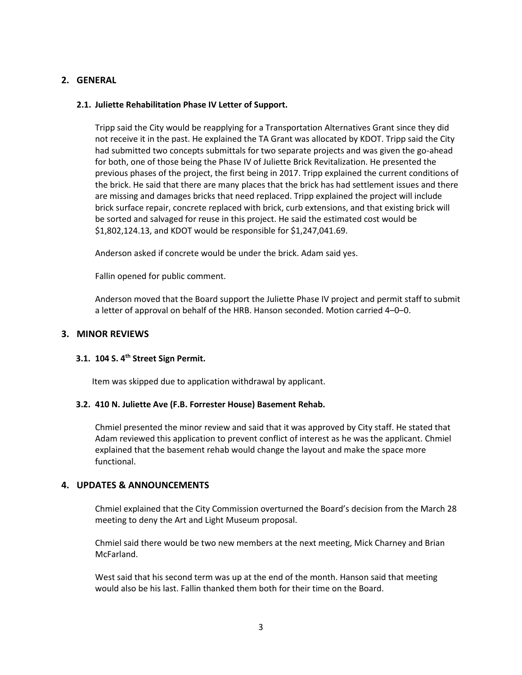#### **2. GENERAL**

#### **2.1. Juliette Rehabilitation Phase IV Letter of Support.**

Tripp said the City would be reapplying for a Transportation Alternatives Grant since they did not receive it in the past. He explained the TA Grant was allocated by KDOT. Tripp said the City had submitted two concepts submittals for two separate projects and was given the go-ahead for both, one of those being the Phase IV of Juliette Brick Revitalization. He presented the previous phases of the project, the first being in 2017. Tripp explained the current conditions of the brick. He said that there are many places that the brick has had settlement issues and there are missing and damages bricks that need replaced. Tripp explained the project will include brick surface repair, concrete replaced with brick, curb extensions, and that existing brick will be sorted and salvaged for reuse in this project. He said the estimated cost would be \$1,802,124.13, and KDOT would be responsible for \$1,247,041.69.

Anderson asked if concrete would be under the brick. Adam said yes.

Fallin opened for public comment.

Anderson moved that the Board support the Juliette Phase IV project and permit staff to submit a letter of approval on behalf of the HRB. Hanson seconded. Motion carried 4–0–0.

#### **3. MINOR REVIEWS**

#### **3.1. 104 S. 4th Street Sign Permit.**

Item was skipped due to application withdrawal by applicant.

#### **3.2. 410 N. Juliette Ave (F.B. Forrester House) Basement Rehab.**

Chmiel presented the minor review and said that it was approved by City staff. He stated that Adam reviewed this application to prevent conflict of interest as he was the applicant. Chmiel explained that the basement rehab would change the layout and make the space more functional.

#### **4. UPDATES & ANNOUNCEMENTS**

Chmiel explained that the City Commission overturned the Board's decision from the March 28 meeting to deny the Art and Light Museum proposal.

Chmiel said there would be two new members at the next meeting, Mick Charney and Brian McFarland.

West said that his second term was up at the end of the month. Hanson said that meeting would also be his last. Fallin thanked them both for their time on the Board.